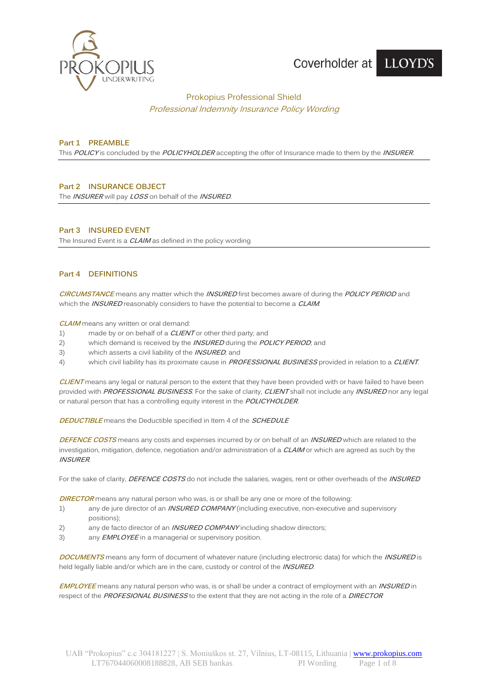

# Prokopius Professional Shield Professional Indemnity Insurance Policy Wording

# **Part 1 PREAMBLE**

This **POLICY** is concluded by the **POLICYHOLDER** accepting the offer of Insurance made to them by the **INSURER**.

# **Part 2 INSURANCE OBJECT**

The **INSURER** will pay **LOSS** on behalf of the **INSURED**.

# **Part 3 INSURED EVENT**

The Insured Event is a **CLAIM** as defined in the policy wording

# **Part 4 DEFINITIONS**

**CIRCUMSTANCE** means any matter which the **INSURED** first becomes aware of during the **POLICY PERIOD** and which the **INSURED** reasonably considers to have the potential to become a **CLAIM**.

**CLAIM** means any written or oral demand:

- 1) made by or on behalf of a **CLIENT** or other third party; and
- 2) which demand is received by the **INSURED** during the **POLICY PERIOD**; and
- 3) which asserts a civil liability of the **INSURED**; and
- 4) which civil liability has its proximate cause in **PROFESSIONAL BUSINESS** provided in relation to a **CLIENT**.

**CLIENT** means any legal or natural person to the extent that they have been provided with or have failed to have been provided with **PROFESSIONAL BUSINESS**. For the sake of clarity, **CLIENT** shall not include any **INSURED** nor any legal or natural person that has a controlling equity interest in the **POLICYHOLDER**.

**DEDUCTIBLE** means the Deductible specified in Item 4 of the **SCHEDULE**

**DEFENCE COSTS** means any costs and expenses incurred by or on behalf of an **INSURED** which are related to the investigation, mitigation, defence, negotiation and/or administration of a **CLAIM** or which are agreed as such by the **INSURER**.

For the sake of clarity, **DEFENCE COSTS** do not include the salaries, wages, rent or other overheads of the **INSURED**

**DIRECTOR** means any natural person who was, is or shall be any one or more of the following:

- 1) any de jure director of an **INSURED COMPANY** (including executive, non-executive and supervisory positions);
- 2) any de facto director of an **INSURED COMPANY** including shadow directors;
- 3) any **EMPLOYEE** in a managerial or supervisory position.

**DOCUMENTS** means any form of document of whatever nature (including electronic data) for which the **INSURED** is held legally liable and/or which are in the care, custody or control of the **INSURED**.

**EMPLOYEE** means any natural person who was, is or shall be under a contract of employment with an **INSURED** in respect of the **PROFESIONAL BUSINESS** to the extent that they are not acting in the role of a **DIRECTOR**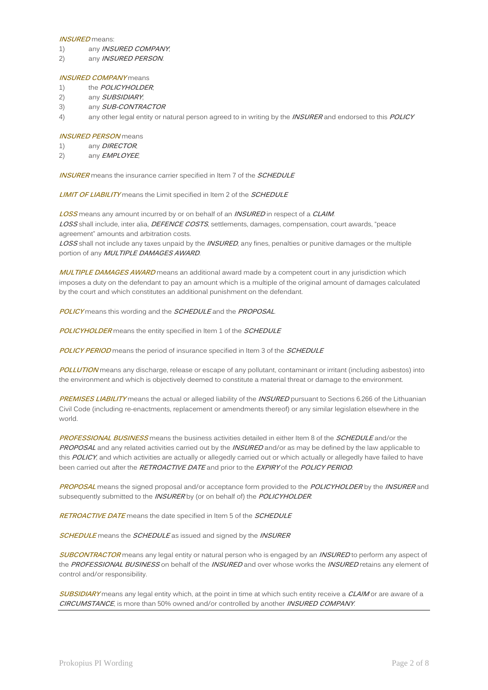#### **INSURED** means:

- 1) any **INSURED COMPANY**;
- 2) any **INSURED PERSON**.

#### **INSURED COMPANY** means

- 1) the **POLICYHOLDER**;
- 2) any **SUBSIDIARY**;
- 3) any **SUB-CONTRACTOR**
- 4) any other legal entity or natural person agreed to in writing by the **INSURER** and endorsed to this **POLICY**

#### **INSURED PERSON** means

- 1) any **DIRECTOR**;
- 2) any **EMPLOYEE**;

**INSURER** means the insurance carrier specified in Item 7 of the **SCHEDULE**

**LIMIT OF LIABILITY** means the Limit specified in Item 2 of the **SCHEDULE**

**LOSS** means any amount incurred by or on behalf of an **INSURED** in respect of a **CLAIM**. **LOSS** shall include, inter alia, **DEFENCE COSTS**, settlements, damages, compensation, court awards, "peace agreement" amounts and arbitration costs.

**LOSS** shall not include any taxes unpaid by the **INSURED**, any fines, penalties or punitive damages or the multiple portion of any **MULTIPLE DAMAGES AWARD**.

**MULTIPLE DAMAGES AWARD** means an additional award made by a competent court in any jurisdiction which imposes a duty on the defendant to pay an amount which is a multiple of the original amount of damages calculated by the court and which constitutes an additional punishment on the defendant.

**POLICY** means this wording and the **SCHEDULE** and the **PROPOSAL**.

**POLICYHOLDER** means the entity specified in Item 1 of the **SCHEDULE**

**POLICY PERIOD** means the period of insurance specified in Item 3 of the **SCHEDULE**

**POLLUTION** means any discharge, release or escape of any pollutant, contaminant or irritant (including asbestos) into the environment and which is objectively deemed to constitute a material threat or damage to the environment.

**PREMISES LIABILITY** means the actual or alleged liability of the **INSURED** pursuant to Sections 6.266 of the Lithuanian Civil Code (including re-enactments, replacement or amendments thereof) or any similar legislation elsewhere in the world.

**PROFESSIONAL BUSINESS** means the business activities detailed in either Item 8 of the **SCHEDULE** and/or the **PROPOSAL** and any related activities carried out by the **INSURED** and/or as may be defined by the law applicable to this **POLICY**, and which activities are actually or allegedly carried out or which actually or allegedly have failed to have been carried out after the **RETROACTIVE DATE** and prior to the **EXPIRY** of the **POLICY PERIOD**.

**PROPOSAL** means the signed proposal and/or acceptance form provided to the **POLICYHOLDER** by the **INSURER** and subsequently submitted to the **INSURER** by (or on behalf of) the **POLICYHOLDER**.

**RETROACTIVE DATE** means the date specified in Item 5 of the **SCHEDULE**

**SCHEDULE** means the **SCHEDULE** as issued and signed by the **INSURER**

**SUBCONTRACTOR** means any legal entity or natural person who is engaged by an **INSURED** to perform any aspect of the **PROFESSIONAL BUSINESS** on behalf of the **INSURED** and over whose works the **INSURED** retains any element of control and/or responsibility.

**SUBSIDIARY** means any legal entity which, at the point in time at which such entity receive a **CLAIM** or are aware of a **CIRCUMSTANCE**, is more than 50% owned and/or controlled by another **INSURED COMPANY**.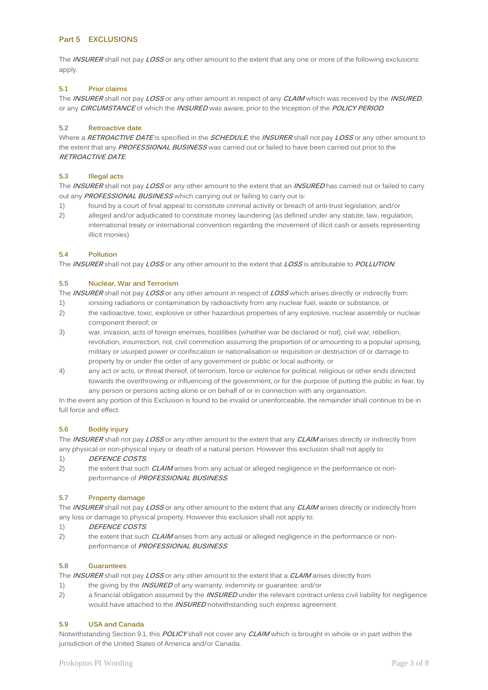# **Part 5 EXCLUSIONS**

The **INSURER** shall not pay **LOSS** or any other amount to the extent that any one or more of the following exclusions apply.

### **5.1 Prior claims**

The **INSURER** shall not pay **LOSS** or any other amount in respect of any **CLAIM** which was received by the **INSURED**, or any **CIRCUMSTANCE** of which the **INSURED** was aware, prior to the Inception of the **POLICY PERIOD**.

### **5.2 Retroactive date**

Where a **RETROACTIVE DATE** is specified in the **SCHEDULE**, the **INSURER** shall not pay **LOSS** or any other amount to the extent that any **PROFESSIONAL BUSINESS** was carried out or failed to have been carried out prior to the **RETROACTIVE DATE**.

# **5.3 Illegal acts**

The **INSURER** shall not pay **LOSS** or any other amount to the extent that an **INSURED** has carried out or failed to carry out any **PROFESSIONAL BUSINESS** which carrying out or failing to carry out is:

- 1) found by a court of final appeal to constitute criminal activity or breach of anti-trust legislation; and/or
- 2) alleged and/or adjudicated to constitute money laundering (as defined under any statute, law, regulation, international treaty or international convention regarding the movement of illicit cash or assets representing illicit monies)

# **5.4 Pollution**

The **INSURER** shall not pay **LOSS** or any other amount to the extent that **LOSS** is attributable to **POLLUTION**.

# **5.5 Nuclear, War and Terrorism**

The **INSURER** shall not pay **LOSS** or any other amount in respect of **LOSS** which arises directly or indirectly from:

- 1) ionising radiations or contamination by radioactivity from any nuclear fuel, waste or substance, or
- 2) the radioactive, toxic, explosive or other hazardous properties of any explosive, nuclear assembly or nuclear component thereof; or
- 3) war, invasion, acts of foreign enemies, hostilities (whether war be declared or not), civil war, rebellion, revolution, insurrection, riot, civil commotion assuming the proportion of or amounting to a popular uprising, military or usurped power or confiscation or nationalisation or requisition or destruction of or damage to property by or under the order of any government or public or local authority, or
- 4) any act or acts, or threat thereof, of terrorism, force or violence for political, religious or other ends directed towards the overthrowing or influencing of the government, or for the purpose of putting the public in fear, by any person or persons acting alone or on behalf of or in connection with any organisation.

In the event any portion of this Exclusion is found to be invalid or unenforceable, the remainder shall continue to be in full force and effect.

# **5.6 Bodily injury**

The **INSURER** shall not pay **LOSS** or any other amount to the extent that any **CLAIM** arises directly or indirectly from any physical or non-physical injury or death of a natural person. However this exclusion shall not apply to:

### 1) **DEFENCE COSTS**;

2) the extent that such **CLAIM** arises from any actual or alleged negligence in the performance or nonperformance of **PROFESSIONAL BUSINESS**.

# **5.7 Property damage**

The **INSURER** shall not pay **LOSS** or any other amount to the extent that any **CLAIM** arises directly or indirectly from any loss or damage to physical property. However this exclusion shall not apply to:

# 1) **DEFENCE COSTS**;

2) the extent that such **CLAIM** arises from any actual or alleged negligence in the performance or nonperformance of **PROFESSIONAL BUSINESS**.

# **5.8 Guarantees**

The **INSURER** shall not pay **LOSS** or any other amount to the extent that a **CLAIM** arises directly from

- 1) the giving by the **INSURED** of any warranty, indemnity or guarantee; and/or
- 2) a financial obligation assumed by the **INSURED** under the relevant contract unless civil liability for negligence would have attached to the **INSURED** notwithstanding such express agreement.

#### **5.9 USA and Canada**

Notwithstanding Section 9.1, this **POLICY** shall not cover any **CLAIM** which is brought in whole or in part within the jurisdiction of the United States of America and/or Canada.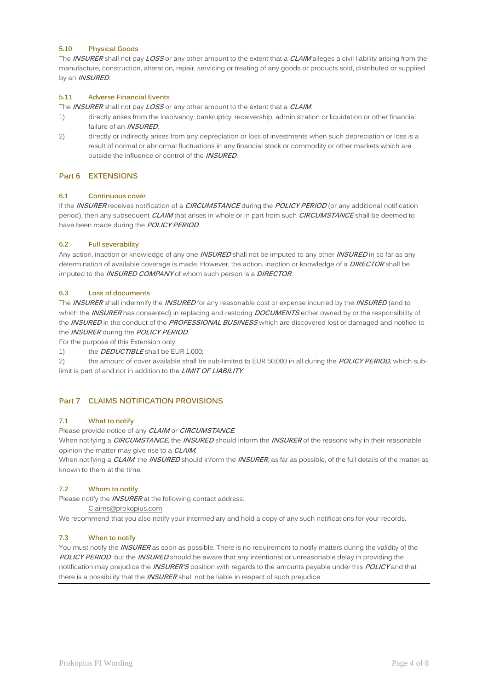# **5.10 Physical Goods**

The **INSURER** shall not pay **LOSS** or any other amount to the extent that a **CLAIM** alleges a civil liability arising from the manufacture, construction, alteration, repair, servicing or treating of any goods or products sold, distributed or supplied by an **INSURED**.

# **5.11 Adverse Financial Events**

The **INSURER** shall not pay **LOSS** or any other amount to the extent that a **CLAIM**:

- 1) directly arises from the insolvency, bankruptcy, receivership, administration or liquidation or other financial failure of an **INSURED**;
- 2) directly or indirectly arises from any depreciation or loss of investments when such depreciation or loss is a result of normal or abnormal fluctuations in any financial stock or commodity or other markets which are outside the influence or control of the **INSURED**.

# **Part 6 EXTENSIONS**

# **6.1 Continuous cover**

If the **INSURER** receives notification of a **CIRCUMSTANCE** during the **POLICY PERIOD** (or any additional notification period), then any subsequent **CLAIM** that arises in whole or in part from such **CIRCUMSTANCE** shall be deemed to have been made during the **POLICY PERIOD**.

# **6.2 Full severability**

Any action, inaction or knowledge of any one **INSURED** shall not be imputed to any other **INSURED** in so far as any determination of available coverage is made. However, the action, inaction or knowledge of a **DIRECTOR** shall be imputed to the **INSURED COMPANY** of whom such person is a **DIRECTOR**.

# **6.3 Loss of documents**

The **INSURER** shall indemnify the **INSURED** for any reasonable cost or expense incurred by the **INSURED** (and to which the **INSURER** has consented) in replacing and restoring **DOCUMENTS** either owned by or the responsibility of the **INSURED** in the conduct of the **PROFESSIONAL BUSINESS** which are discovered lost or damaged and notified to the **INSURER** during the **POLICY PERIOD**.

For the purpose of this Extension only:

1) the **DEDUCTIBLE** shall be EUR 1,000;

2) the amount of cover available shall be sub-limited to EUR 50,000 in all during the **POLICY PERIOD**, which sublimit is part of and not in addition to the **LIMIT OF LIABILITY**.

# **Part 7 CLAIMS NOTIFICATION PROVISIONS**

### **7.1 What to notify**

Please provide notice of any **CLAIM** or **CIRCUMSTANCE**.

When notifying a **CIRCUMSTANCE**, the **INSURED** should inform the **INSURER** of the reasons why in their reasonable opinion the matter may give rise to a **CLAIM**.

When notifying a **CLAIM**, the **INSURED** should inform the **INSURER**, as far as possible, of the full details of the matter as known to them at the time.

# **7.2 Whom to notify**

Please notify the **INSURER** at the following contact address:

[Claims@prokopius.com](mailto:Claims@prokopius.com)

We recommend that you also notify your intermediary and hold a copy of any such notifications for your records.

# **7.3 When to notify**

You must notify the **INSURER** as soon as possible. There is no requirement to notify matters during the validity of the **POLICY PERIOD** but the **INSURED** should be aware that any intentional or unreasonable delay in providing the notification may prejudice the **INSURER'S** position with regards to the amounts payable under this **POLICY** and that there is a possibility that the **INSURER** shall not be liable in respect of such prejudice.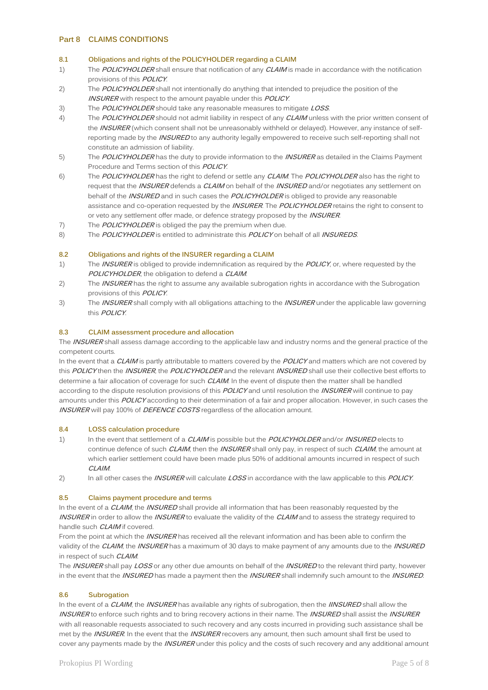# **Part 8 CLAIMS CONDITIONS**

#### **8.1 Obligations and rights of the POLICYHOLDER regarding a CLAIM**

- 1) The **POLICYHOLDER** shall ensure that notification of any **CLAIM** is made in accordance with the notification provisions of this **POLICY**.
- 2) The **POLICYHOLDER** shall not intentionally do anything that intended to prejudice the position of the **INSURER** with respect to the amount payable under this **POLICY**.
- 3) The **POLICYHOLDER** should take any reasonable measures to mitigate **LOSS**.
- 4) The **POLICYHOLDER** should not admit liability in respect of any **CLAIM** unless with the prior written consent of the **INSURER** (which consent shall not be unreasonably withheld or delayed). However, any instance of selfreporting made by the **INSURED** to any authority legally empowered to receive such self-reporting shall not constitute an admission of liability.
- 5) The **POLICYHOLDER** has the duty to provide information to the **INSURER** as detailed in the Claims Payment Procedure and Terms section of this **POLICY**.
- 6) The **POLICYHOLDER** has the right to defend or settle any **CLAIM**. The **POLICYHOLDER** also has the right to request that the **INSURER** defends a **CLAIM** on behalf of the **INSURED** and/or negotiates any settlement on behalf of the **INSURED** and in such cases the **POLICYHOLDER** is obliged to provide any reasonable assistance and co-operation requested by the **INSURER**. The **POLICYHOLDER** retains the right to consent to or veto any settlement offer made, or defence strategy proposed by the **INSURER**.
- 7) The **POLICYHOLDER** is obliged the pay the premium when due.
- 8) The **POLICYHOLDER** is entitled to administrate this **POLICY** on behalf of all **INSUREDS**.

#### **8.2 Obligations and rights of the INSURER regarding a CLAIM**

- 1) The **INSURER** is obliged to provide indemnification as required by the **POLICY**, or, where requested by the **POLICYHOLDER**, the obligation to defend a **CLAIM**.
- 2) The **INSURER** has the right to assume any available subrogation rights in accordance with the Subrogation provisions of this **POLICY**.
- 3) The **INSURER** shall comply with all obligations attaching to the **INSURER** under the applicable law governing this **POLICY**.

#### **8.3 CLAIM assessment procedure and allocation**

The **INSURER** shall assess damage according to the applicable law and industry norms and the general practice of the competent courts.

In the event that a **CLAIM** is partly attributable to matters covered by the **POLICY** and matters which are not covered by this **POLICY** then the **INSURER**, the **POLICYHOLDER** and the relevant **INSURED** shall use their collective best efforts to determine a fair allocation of coverage for such **CLAIM**. In the event of dispute then the matter shall be handled according to the dispute resolution provisions of this **POLICY** and until resolution the **INSURER** will continue to pay amounts under this **POLICY** according to their determination of a fair and proper allocation. However, in such cases the **INSURER** will pay 100% of **DEFENCE COSTS** regardless of the allocation amount.

#### **8.4 LOSS calculation procedure**

- 1) In the event that settlement of a **CLAIM** is possible but the **POLICYHOLDER** and/or **INSURED** elects to continue defence of such **CLAIM**, then the **INSURER** shall only pay, in respect of such **CLAIM**, the amount at which earlier settlement could have been made plus 50% of additional amounts incurred in respect of such **CLAIM**.
- 2) In all other cases the **INSURER** will calculate **LOSS** in accordance with the law applicable to this **POLICY**.

#### **8.5 Claims payment procedure and terms**

In the event of a **CLAIM**, the **INSURED** shall provide all information that has been reasonably requested by the **INSURER** in order to allow the **INSURER** to evaluate the validity of the **CLAIM** and to assess the strategy required to handle such **CLAIM** if covered.

From the point at which the **INSURER** has received all the relevant information and has been able to confirm the validity of the **CLAIM**, the **INSURER** has a maximum of 30 days to make payment of any amounts due to the **INSURED** in respect of such **CLAIM**.

The **INSURER** shall pay **LOSS** or any other due amounts on behalf of the **INSURED** to the relevant third party, however in the event that the **INSURED** has made a payment then the **INSURER** shall indemnify such amount to the **INSURED**.

#### **8.6 Subrogation**

In the event of a **CLAIM**, the **INSURER** has available any rights of subrogation, then the **IINSURED** shall allow the **INSURER** to enforce such rights and to bring recovery actions in their name. The **INSURED** shall assist the **INSURER** with all reasonable requests associated to such recovery and any costs incurred in providing such assistance shall be met by the **INSURER**. In the event that the **INSURER** recovers any amount, then such amount shall first be used to cover any payments made by the **INSURER** under this policy and the costs of such recovery and any additional amount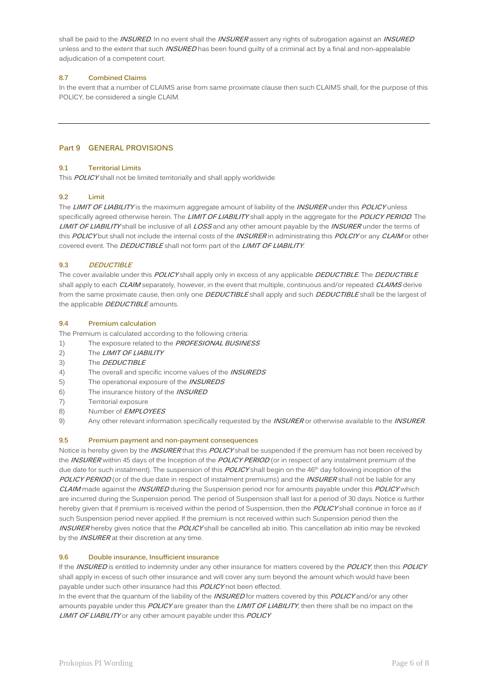shall be paid to the **INSURED**. In no event shall the **INSURER** assert any rights of subrogation against an **INSURED** unless and to the extent that such **INSURED** has been found guilty of a criminal act by a final and non-appealable adjudication of a competent court.

### **8.7 Combined Claims**

In the event that a number of CLAIMS arise from same proximate clause then such CLAIMS shall, for the purpose of this POLICY, be considered a single CLAIM.

# **Part 9 GENERAL PROVISIONS**

#### **9.1 Territorial Limits**

This **POLICY** shall not be limited territorially and shall apply worldwide

#### **9.2 Limit**

The **LIMIT OF LIABILITY** is the maximum aggregate amount of liability of the **INSURER** under this **POLICY** unless specifically agreed otherwise herein. The **LIMIT OF LIABILITY** shall apply in the aggregate for the **POLICY PERIOD**. The **LIMIT OF LIABILITY** shall be inclusive of all **LOSS** and any other amount payable by the **INSURER** under the terms of this **POLICY** but shall not include the internal costs of the **INSURER** in administrating this **POLCIY** or any **CLAIM** or other covered event. The **DEDUCTIBLE** shall not form part of the **LIMIT OF LIABILITY**.

#### **9.3 DEDUCTIBLE**

The cover available under this **POLICY** shall apply only in excess of any applicable **DEDUCTIBLE**. The **DEDUCTIBLE** shall apply to each **CLAIM** separately, however, in the event that multiple, continuous and/or repeated **CLAIMS** derive from the same proximate cause, then only one **DEDUCTIBLE** shall apply and such **DEDUCTIBLE** shall be the largest of the applicable **DEDUCTIBLE** amounts.

#### **9.4 Premium calculation**

The Premium is calculated according to the following criteria:

- 1) The exposure related to the **PROFESIONAL BUSINESS**
- 2) The **LIMIT OF LIABILITY**
- 3) The **DEDUCTIBLE**
- 4) The overall and specific income values of the **INSUREDS**
- 5) The operational exposure of the **INSUREDS**
- 6) The insurance history of the **INSURED**
- 7) Territorial exposure
- 8) Number of **EMPLOYEES**
- 9) Any other relevant information specifically requested by the **INSURER** or otherwise available to the **INSURER**.

#### **9.5 Premium payment and non-payment consequences**

Notice is hereby given by the **INSURER** that this **POLICY** shall be suspended if the premium has not been received by the **INSURER** within 45 days of the Inception of the **POLICY PERIOD** (or in respect of any instalment premium of the due date for such instalment). The suspension of this **POLICY** shall begin on the 46<sup>th</sup> day following inception of the **POLICY PERIOD** (or of the due date in respect of instalment premiums) and the **INSURER** shall not be liable for any **CLAIM** made against the **INSURED** during the Suspension period nor for amounts payable under this **POLICY** which are incurred during the Suspension period. The period of Suspension shall last for a period of 30 days. Notice is further hereby given that if premium is received within the period of Suspension, then the **POLICY** shall continue in force as if such Suspension period never applied. If the premium is not received within such Suspension period then the **INSURER** hereby gives notice that the **POLICY** shall be cancelled ab initio. This cancellation ab initio may be revoked by the **INSURER** at their discretion at any time.

#### **9.6 Double insurance, Insufficient insurance**

If the **INSURED** is entitled to indemnity under any other insurance for matters covered by the **POLICY**, then this **POLICY** shall apply in excess of such other insurance and will cover any sum beyond the amount which would have been payable under such other insurance had this **POLICY** not been effected.

In the event that the quantum of the liability of the **INSURED** for matters covered by this **POLICY** and/or any other amounts payable under this **POLICY** are greater than the **LIMIT OF LIABILITY**, then there shall be no impact on the **LIMIT OF LIABILITY** or any other amount payable under this **POLICY**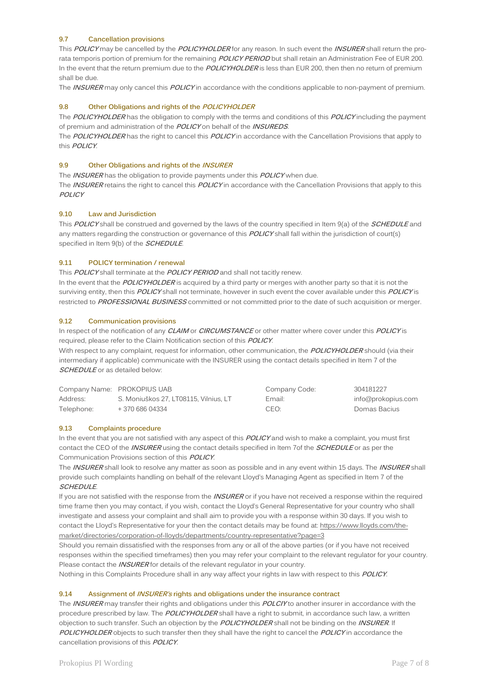# **9.7 Cancellation provisions**

This **POLICY** may be cancelled by the **POLICYHOLDER** for any reason. In such event the **INSURER** shall return the prorata temporis portion of premium for the remaining **POLICY PERIOD** but shall retain an Administration Fee of EUR 200. In the event that the return premium due to the **POLICYHOLDER** is less than EUR 200, then then no return of premium shall be due.

The **INSURER** may only cancel this **POLICY** in accordance with the conditions applicable to non-payment of premium.

### **9.8 Other Obligations and rights of the POLICYHOLDER**

The **POLICYHOLDER** has the obligation to comply with the terms and conditions of this **POLICY** including the payment of premium and administration of the **POLICY** on behalf of the **INSUREDS**.

The **POLICYHOLDER** has the right to cancel this **POLICY** in accordance with the Cancellation Provisions that apply to this **POLICY**.

#### **9.9 Other Obligations and rights of the INSURER**

The **INSURER** has the obligation to provide payments under this **POLICY** when due. The **INSURER** retains the right to cancel this **POLICY** in accordance with the Cancellation Provisions that apply to this **POLICY**

#### **9.10 Law and Jurisdiction**

This **POLICY** shall be construed and governed by the laws of the country specified in Item 9(a) of the **SCHEDULE** and any matters regarding the construction or governance of this **POLICY** shall fall within the jurisdiction of court(s) specified in Item 9(b) of the **SCHEDULE**.

#### **9.11 POLICY termination / renewal**

This **POLICY** shall terminate at the **POLICY PERIOD** and shall not tacitly renew. In the event that the **POLICYHOLDER** is acquired by a third party or merges with another party so that it is not the surviving entity, then this **POLICY** shall not terminate, however in such event the cover available under this **POLICY** is restricted to **PROFESSIONAL BUSINESS** committed or not committed prior to the date of such acquisition or merger.

#### **9.12 Communication provisions**

In respect of the notification of any **CLAIM** or **CIRCUMSTANCE** or other matter where cover under this **POLICY** is required, please refer to the Claim Notification section of this **POLICY**.

With respect to any complaint, request for information, other communication, the **POLICYHOLDER** should (via their intermediary if applicable) communicate with the INSURER using the contact details specified in Item 7 of the **SCHEDULE** or as detailed below:

|            | Company Name: PROKOPIUS UAB           | Company Code:    | 304181227          |
|------------|---------------------------------------|------------------|--------------------|
| Address:   | S. Moniuškos 27. LT08115. Vilnius. LT | Email:           | info@prokopius.com |
| Telephone: | + 370 686 04334                       | CEO <sup>.</sup> | Domas Bacius       |

#### **9.13 Complaints procedure**

In the event that you are not satisfied with any aspect of this **POLICY** and wish to make a complaint, you must first contact the CEO of the **INSURER** using the contact details specified in Item 7of the **SCHEDULE** or as per the Communication Provisions section of this **POLICY**.

The **INSURER** shall look to resolve any matter as soon as possible and in any event within 15 days. The **INSURER** shall provide such complaints handling on behalf of the relevant Lloyd's Managing Agent as specified in Item 7 of the **SCHEDULE**.

If you are not satisfied with the response from the **INSURER** or if you have not received a response within the required time frame then you may contact, if you wish, contact the Lloyd's General Representative for your country who shall investigate and assess your complaint and shall aim to provide you with a response within 30 days. If you wish to contact the Lloyd's Representative for your then the contact details may be found at: [https://www.lloyds.com/the](https://www.lloyds.com/the-market/directories/corporation-of-lloyds/departments/country-representative?page=3)[market/directories/corporation-of-lloyds/departments/country-representative?page=3](https://www.lloyds.com/the-market/directories/corporation-of-lloyds/departments/country-representative?page=3)

Should you remain dissatisfied with the responses from any or all of the above parties (or if you have not received responses within the specified timeframes) then you may refer your complaint to the relevant regulator for your country. Please contact the **INSURER** for details of the relevant regulator in your country.

Nothing in this Complaints Procedure shall in any way affect your rights in law with respect to this **POLICY**.

#### **9.14 Assignment of INSURER's rights and obligations under the insurance contract**

The **INSURER** may transfer their rights and obligations under this **POLCIY** to another insurer in accordance with the procedure prescribed by law. The **POLICYHOLDER** shall have a right to submit, in accordance such law, a written objection to such transfer. Such an objection by the **POLICYHOLDER** shall not be binding on the **INSURER**. If **POLICYHOLDER** objects to such transfer then they shall have the right to cancel the **POLICY** in accordance the cancellation provisions of this **POLICY**.